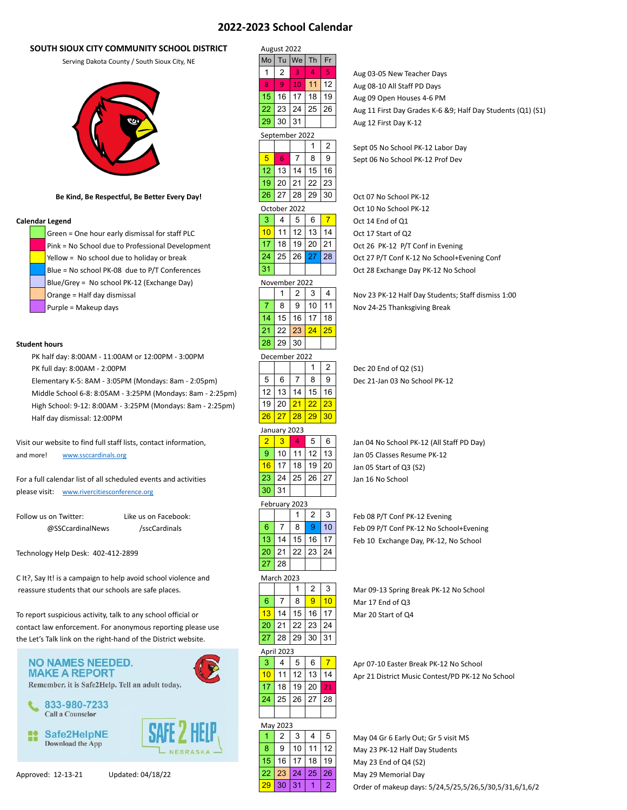# **2022-2023 School Calendar**

# **SOUTH SIOUX CITY COMMUNITY SCHOOL DISTRICT**



Green = One hour early dismissal for staff PLC  $\vert$  10 | 11 | 12 | 13 | 14 | Oct 17 Start of Q2 Pink = No School due to Professional Development 5 17 18 19 20 21 5 Oct 26 PK-12 P/T Conf in Evening Yellow = No school due to holiday or break  $24 \mid 25 \mid 26 \mid 27 \mid 28$  Oct 27 P/T Conf K-12 No School+Evening Conf Blue = No school PK-08 due to P/T Conferences  $\begin{vmatrix} 31 & | & | & | \end{vmatrix}$  Oct 28 Exchange Day PK-12 No School Blue/Grey = No school PK-12 (Exchange Day) Orange = Half day dismissal  $\vert$   $\vert$  1  $\vert$  2  $\vert$  3  $\vert$  4  $\vert$  Nov 23 PK-12 Half Day Students; Staff dismiss 1:00

Visit our website to find full staff lists, contact information, 3 2 3 4 5 6 2 Jan 04 No School PK-12 (All Staff PD Day) and more! [www.ssccardinals.org](http://www.ssccardinals.org/) 5 5  $\vert$  5  $\vert$  10  $\vert$  11  $\vert$  12  $\vert$  13  $\vert$  5 Jan 05 Classes Resume PK-12

| Follow us on Twitter: | Like us on Facebook: |
|-----------------------|----------------------|
| @SSCcardinalNews      | /sscCardinals        |

C It?, Say It! is a campaign to help avoid school violence and reassure students that our schools are safe places. 3 1 2 3 3 Mar 09-13 Spring Break PK-12 No School



| SOUTH SIOUX CITY COMMUNITY SCHOOL DISTRICT                                                | August 2022                                              |                                                                 |
|-------------------------------------------------------------------------------------------|----------------------------------------------------------|-----------------------------------------------------------------|
| Serving Dakota County / South Sioux City, NE                                              | Th<br>Fr<br>Tu<br>We<br>Mo                               |                                                                 |
|                                                                                           | 2<br>5<br>$\mathbf{1}$<br>4<br>3                         | Aug 03-05 New Teacher Days                                      |
|                                                                                           | 9<br>12<br>8<br>10<br>11                                 | Aug 08-10 All Staff PD Days                                     |
|                                                                                           | 16<br>19<br>15<br>17<br>18                               | Aug 09 Open Houses 4-6 PM                                       |
|                                                                                           | 22<br>23<br>25<br>26<br>24                               | Aug 11 First Day Grades K-6 &!                                  |
|                                                                                           | 29<br>30<br>31                                           | Aug 12 First Day K-12                                           |
|                                                                                           | September 2022                                           |                                                                 |
|                                                                                           | $\overline{2}$<br>1                                      | Sept 05 No School PK-12 Labor                                   |
|                                                                                           | 9<br>5<br>7<br>8<br>6                                    | Sept 06 No School PK-12 Prof I                                  |
|                                                                                           | 13<br>15<br>16<br>12<br>14                               |                                                                 |
|                                                                                           | 19<br>20<br>21<br>22<br>23<br>27<br>29<br>26             |                                                                 |
| Be Kind, Be Respectful, Be Better Every Day!                                              | 28<br>30                                                 | Oct 07 No School PK-12                                          |
| <b>Calendar Legend</b>                                                                    | October 2022<br>3<br>$\overline{7}$<br>4<br>5<br>6       | Oct 10 No School PK-12<br>Oct 14 End of Q1                      |
| Green = One hour early dismissal for staff PLC                                            | 13<br>10<br>11<br>12<br>14                               | Oct 17 Start of Q2                                              |
| Pink = No School due to Professional Development                                          | 18<br>20<br>21<br>17<br>19                               | Oct 26 PK-12 P/T Conf in Ever                                   |
| Yellow = No school due to holiday or break                                                | 25<br>27<br>28<br>24<br>26                               | Oct 27 P/T Conf K-12 No Schoo                                   |
| Blue = No school PK-08 due to P/T Conferences                                             | 31                                                       | Oct 28 Exchange Day PK-12 No                                    |
| Blue/Grey = No school PK-12 (Exchange Day)                                                | November 2022                                            |                                                                 |
| Orange = Half day dismissal                                                               | 1<br>2<br>3<br>4                                         | Nov 23 PK-12 Half Day Student                                   |
| Purple = Makeup days                                                                      | $\overline{7}$<br>8<br>9<br>10<br>11                     | Nov 24-25 Thanksgiving Break                                    |
|                                                                                           | 15<br>17<br>18<br>14<br>16                               |                                                                 |
|                                                                                           | 25<br>21<br>22<br>23<br>24                               |                                                                 |
| <b>Student hours</b>                                                                      | 28<br>29<br>30                                           |                                                                 |
| PK half day: 8:00AM - 11:00AM or 12:00PM - 3:00PM                                         | December 2022                                            |                                                                 |
| PK full day: 8:00AM - 2:00PM                                                              | $\overline{c}$<br>1                                      | Dec 20 End of Q2 (S1)                                           |
| Elementary K-5: 8AM - 3:05PM (Mondays: 8am - 2:05pm)                                      | 5<br>6<br>7<br>8<br>9<br>13<br>15<br>12<br>14<br>16      | Dec 21-Jan 03 No School PK-12                                   |
| Middle School 6-8: 8:05AM - 3:25PM (Mondays: 8am - 2:25pm)                                | 22<br>23<br>19<br>20<br>21                               |                                                                 |
| High School: 9-12: 8:00AM - 3:25PM (Mondays: 8am - 2:25pm)<br>Half day dismissal: 12:00PM | 29<br>27<br><b>28</b><br>30<br>26                        |                                                                 |
|                                                                                           | January 2023                                             |                                                                 |
| Visit our website to find full staff lists, contact information,                          | $\overline{2}$<br>3<br>5<br>6<br>4                       | Jan 04 No School PK-12 (All Sta                                 |
| www.ssccardinals.org<br>and more!                                                         | 9<br>10<br>12<br>13<br>11                                | Jan 05 Classes Resume PK-12                                     |
|                                                                                           | 16<br>17<br>18<br>19<br>20                               | Jan 05 Start of Q3 (S2)                                         |
| For a full calendar list of all scheduled events and activities                           | 27<br>23<br>24<br>25<br>26                               | Jan 16 No School                                                |
| please visit: www.rivercitiesconference.org                                               | 31<br>30                                                 |                                                                 |
|                                                                                           | February 2023                                            |                                                                 |
| Follow us on Twitter:<br>Like us on Facebook:                                             | 1<br>2<br>3                                              | Feb 08 P/T Conf PK-12 Evening                                   |
| @SSCcardinalNews<br>/sscCardinals                                                         | 10<br>6<br>7<br>8<br>9                                   | Feb 09 P/T Conf PK-12 No Scho                                   |
|                                                                                           | 13<br>14<br>17<br>15<br>16<br>20<br>21<br>22<br>23<br>24 | Feb 10 Exchange Day, PK-12, M                                   |
| Technology Help Desk: 402-412-2899                                                        | 27<br>28                                                 |                                                                 |
| C It?, Say It! is a campaign to help avoid school violence and                            | March 2023                                               |                                                                 |
| reassure students that our schools are safe places.                                       | 1<br>2<br>3                                              | Mar 09-13 Spring Break PK-12                                    |
|                                                                                           | 7<br>8<br>9<br>10<br>6                                   | Mar 17 End of Q3                                                |
| To report suspicious activity, talk to any school official or                             | 13<br>14<br>15<br>16<br>17                               | Mar 20 Start of Q4                                              |
| contact law enforcement. For anonymous reporting please use                               | 24<br>20<br>21<br>22<br>23                               |                                                                 |
| the Let's Talk link on the right-hand of the District website.                            | 27<br>29<br>30<br>31<br>28                               |                                                                 |
|                                                                                           | April 2023                                               |                                                                 |
| <b>NO NAMES NEEDED.</b>                                                                   | 3<br>4<br>5<br>6<br>$\overline{7}$                       | Apr 07-10 Easter Break PK-12 I                                  |
| <b>MAKE A REPORT</b><br>Remember, it is Safe2Help. Tell an adult today.                   | 13<br>10<br>11<br>12<br>14                               | Apr 21 District Music Contest/                                  |
|                                                                                           | 17<br>18<br>19<br>20<br>21                               |                                                                 |
| 833-980-7233                                                                              | 24<br>25<br>26<br>27<br>28                               |                                                                 |
| <b>Call a Counselor</b>                                                                   |                                                          |                                                                 |
| SAFE 2 HE<br>Safe2HelpNE                                                                  | May 2023<br>2<br>1<br>3<br>4<br>5                        |                                                                 |
| <b>Download the App</b>                                                                   | 8<br>9<br>10<br>11<br>12                                 | May 04 Gr 6 Early Out; Gr 5 vis<br>May 23 PK-12 Half Day Studen |
|                                                                                           | 15<br>16<br>17<br>18<br>19                               | May 23 End of Q4 (S2)                                           |
| Updated: 04/18/22<br>Approved: 12-13-21                                                   | 22<br>25<br>26<br>23<br>24                               | May 29 Memorial Day                                             |

ug 03-05 New Teacher Days ug 08-10 All Staff PD Days ug 09 Open Houses 4-6 PM ug 11 First Day Grades K-6 &9; Half Day Students (Q1) (S1) ug 12 First Day K-12

ept 05 No School PK-12 Labor Day ept 06 No School PK-12 Prof Dev

ct 10 No School PK-12

n 05 Start of Q3 (S2)

eb 08 P/T Conf PK-12 Evening eb 09 P/T Conf PK-12 No School+Evening eb 10 Exchange Day, PK-12, No School

lar 17 End of Q3

pr 07-10 Easter Break PK-12 No School pr 21 District Music Contest/PD PK-12 No School

lay 04 Gr 6 Early Out; Gr 5 visit MS lay 23 PK-12 Half Day Students lay 23 End of Q4 (S2) 29 30 31 1 2 Order of makeup days: 5/24,5/25,5/26,5/30,5/31,6/1,6/2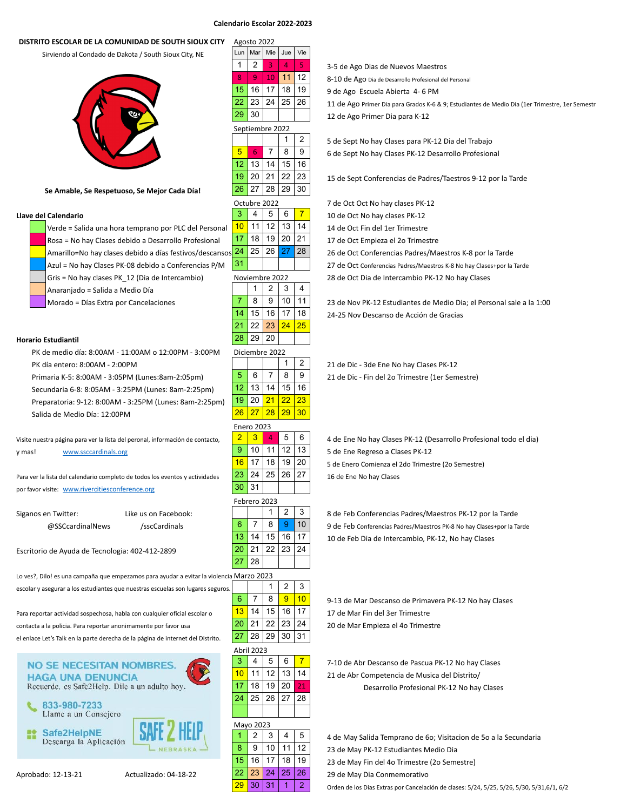## **Calendario Escolar 2022-2023**

### **DISTRITO ESCOLAR DE LA COMUNIDAD DE SOUTH SIOUX CITY**

Sirviendo al Condado de Dakota / South Sioux City, NE



### Se Amable, Se Respetuoso, Se Mejor Cada Día!

Verde = Salida una hora temprano por PLC del Personal  $\frac{10}{10}$  11 | 12 | 13 | 14 | 14 de Oct Fin del 1er Trimestre Rosa = No hay Clases debido a Desarrollo Profesional  $\frac{17}{18}$  18 | 19 | 20 | 21 | 17 de Oct Empieza el 2o Trimestre Amarillo=No hay clases debido a días festivos/descansos 24 25 26 27 28 26 26 0ct Conferencias Padres/Maestros K-8 por la Tarde Azul = No hay Clases PK-08 debido a Conferencias P/M  $\begin{vmatrix} 31 & 1 \\ 1 & 1 \end{vmatrix}$  27 de Oct Conferencias Padres/Maestros K-8 No hay Clases+por la Tarde Gris = No hay clases PK\_12 (Dia de Intercambio) Moviembre 2022 28 de Oct Dia de Intercambio PK-12 No hay Clases Anaranjado = Salida a Medio Día

### **Horario Estudiantil**

PK de medio día: 8:00AM - 11:00AM o 12:00PM - 3:00PM PK día entero: 8:00AM - 2:00PM 1 2 2 21 de Dic - 3de Ene No hay Clases PK-12

Secundaria 6-8: 8:05AM - 3:25PM (Lunes: 8am-2:25pm) Preparatoria: 9-12: 8:00AM - 3:25PM (Lunes: 8am-2:25pm)

Salida de Medio Día: 12:00PM

y mas! [www.ssccardinals.org](http://www.ssccardinals.org/) 9 10 11 12 13 5 de Ene Regreso a Clases PK-12

Para ver la lista del calendario completo de todos los eventos y actividades  $23 | 24 | 25 | 26 | 27 |$  16 de Ene No hay Clases por favor visite: [www.rivercitiesconference.org](http://www.rivercitiesconference.org/)

| Siganos en Twitter: | Like us on Facebook: |  |
|---------------------|----------------------|--|
| @SSCcardinalNews    | /sscCardinals        |  |

Escritorio de Ayuda de Tecnologia: 402-412-2899

Lo ves?, Dilo! es una campaña que empezamos para ayudar a evitar la violencia escolar y asegurar a los estudiantes que nuestras escuelas son lugares seguros.

Para reportar actividad sospechosa, habla con cualquier oficial escolar o  $13$  14 | 15 | 16 | 17 | 17 de Mar Fin del 3er Trimestre contacta a la policia. Para reportar anonimamente por favor usa 20 21 22 21 23 24 23 24 20 de Mar Empieza el 40 Trimestre el enlace Let's Talk en la parte derecha de la página de internet del Distrito.

**NO SE NECESITAN NOMBRES. HAGA UNA DENUNCIA** Recuerde, es Safe2Help. Dile a un adulto hoy. 833-980-7233 Llame a un Consejero Safe2HelpNE m Descarga la Aplicación

|                         | Agosto 2022             |                 |                         |     |
|-------------------------|-------------------------|-----------------|-------------------------|-----|
| Lun                     | Mar                     | Mie             | Jue                     | Vie |
| $\overline{1}$          | 2                       | $\overline{3}$  | 4                       | 5   |
| $\overline{\mathbf{8}}$ | 9                       | 10              | 11                      | 12  |
| 15                      | 16                      | 17              | 18                      | 19  |
| 22                      | 23                      | 24              | 25                      | 26  |
| 29                      | 30                      |                 |                         |     |
|                         | Septiembre 2022         |                 |                         |     |
|                         |                         |                 | 1                       | 2   |
| $\overline{5}$          | 6                       | $\overline{7}$  | 8                       | 9   |
| $\overline{12}$         | 13                      | 14              | 15                      | 16  |
| $\overline{19}$         | 20                      | 21              | 22                      | 23  |
| 26                      | 27                      | 28              | 29                      | 30  |
|                         | Octubre                 | 2022            |                         |     |
| 3                       | 4                       | 5               | 6                       | 7   |
| 10                      | 11                      | 12              | 13                      | 14  |
| $\overline{17}$         | 18                      | 19              | 20                      | 21  |
| $\overline{24}$         | 25                      | 26              | 27                      | 28  |
| 31                      |                         |                 |                         |     |
|                         | Noviembre 2022          |                 |                         |     |
|                         | 1                       | 2               | 3                       | 4   |
| $\overline{7}$          | 8                       | 9               | 10                      | 11  |
| 14                      | 15                      | 16              | 17                      | 18  |
| 21                      | 22                      | 23              | $\overline{24}$         | 25  |
| 28                      | 29                      | 20              |                         |     |
|                         | Diciembre 2022          |                 |                         |     |
|                         |                         |                 | 1                       | 2   |
| 5                       | 6                       | 7               | 8                       | 9   |
| 12                      | 13                      | 14              | 15                      | 16  |
| 19                      | 20                      | $\overline{21}$ | $\overline{22}$         | 23  |
| 26                      | $\overline{27}$         | 28              | 29                      | 30  |
|                         | <b>Enero 2023</b>       |                 |                         |     |
| $\overline{2}$          | $\overline{\mathbf{3}}$ | $\overline{4}$  | 5                       | 6   |
| 9                       | 10                      | 11              | 12                      | 13  |
| 16                      | 17                      | 18              | 19                      | 20  |
| 23                      | 24                      | 25              | 26                      | 27  |
| 30                      | 31                      |                 |                         |     |
|                         | Febrero 2023            |                 |                         |     |
|                         |                         | 1               | $\overline{\mathbf{c}}$ | 3   |
| -6                      | 7                       | 8               | 9                       | 10  |
| 13                      | 14                      | 15              | 16                      | 17  |
| 20                      | 21                      | 22              | 23                      | 24  |
| 27                      | 28                      |                 |                         |     |
|                         | Marzo 2023              |                 |                         |     |
|                         |                         | 1               | 2                       | 3   |
| 6                       | $\overline{7}$          | 8               | 9                       | 10  |
| 13                      | 14                      | 15              | 16                      | 17  |
| 20                      | 21                      | 22              | 23                      | 24  |
| 27                      | 28                      | 29              | 30                      | 31  |
| Abril                   | 2023                    |                 |                         |     |
|                         |                         |                 |                         |     |

|    | Abril 2023 |    |                |    |
|----|------------|----|----------------|----|
| 3  | 4          | 5  | 6              | 7  |
| 10 | 11         | 12 | 13             | 14 |
| 17 | 18         | 19 | 20             | 21 |
| 24 | 25         | 26 | 27             | 28 |
|    |            |    |                |    |
|    | Mavo 2023  |    |                |    |
| 1  | 2          | 3  | $\overline{4}$ | 5  |
| 8  | 9          | 10 | 11             | 12 |
| 15 | 16         | 17 | 18             | 19 |
| 22 | 23         | 24 | 25             | 26 |
|    | n n        | ົ  |                |    |

|                  |         |    |    |                 | 3-5 de Ago Dias de Nuevos Maestros                                                             |
|------------------|---------|----|----|-----------------|------------------------------------------------------------------------------------------------|
|                  |         |    |    | 12 <sup>1</sup> | 8-10 de Ago Dia de Desarrollo Profesional del Personal                                         |
| 15 <sub>15</sub> |         |    |    | 19              | 9 de Ago Escuela Abierta 4-6 PM                                                                |
|                  | 22   23 | 24 | 25 | 26              | 11 de Ago Primer Dia para Grados K-6 & 9; Estudiantes de Medio Dia (1er Trimestre, 1er Semestr |
| 29.              | 30      |    |    |                 | 12 de Ago Primer Dia para K-12                                                                 |

1 2 5 de Sept No hay Clases para PK-12 Dia del Trabajo 6 de Sept No hay Clases PK-12 Desarrollo Profesional

15 de Sept Conferencias de Padres/Taestros 9-12 por la Tarde

7 de Oct Oct No hay clases PK-12 **Llave del Calendario 3 4 5 6 7 10 de Oct No hay clases PK-12** 

Morado = Días Extra por Cancelaciones  $7 \mid 8 \mid 9 \mid 10 \mid 11 \mid 23$  de Nov PK-12 Estudiantes de Medio Dia; el Personal sale a la 1:00 24-25 Nov Descanso de Acción de Gracias

Primaria K-5: 8:00AM - 3:05PM (Lunes:8am-2:05pm) 5 6 7 8 9 21 de Dic - Fin del 2o Trimestre (1er Semestre)

Visite nuestra página para ver la lista del peronal, información de contacto,  $2345/6$   $-4$  de Ene No hay Clases PK-12 (Desarrollo Profesional todo el dia) 5 de Enero Comienza el 2do Trimestre (2o Semestre)

> 8 de Feb Conferencias Padres/Maestros PK-12 por la Tarde 9 de Feb Conferencias Padres/Maestros PK-8 No hay Clases+por la Tarde 10 de Feb Dia de Intercambio, PK-12, No hay Clases

9-13 de Mar Descanso de Primavera PK-12 No hay Clases

7-10 de Abr Descanso de Pascua PK-12 No hay Clases 21 de Abr Competencia de Musica del Distrito/ Desarrollo Profesional PK-12 No hay Clases

4 de May Salida Temprano de 60; Visitacion de 50 a la Secundaria 23 de May PK-12 Estudiantes Medio Dia 23 de May Fin del 4o Trimestre (2o Semestre) Aprobado: 12-13-21 Actualizado: 04-18-22 **22 23 24 25 26** 29 de May Dia Conmemorativo

 $\begin{array}{|c|c|c|c|c|}\hline 30 & 31 & 1 & 2 & \\\hline \end{array}$  Orden de los Dias Extras por Cancelación de clases: 5/24, 5/25, 5/26, 5/30, 5/31,6/1, 6/2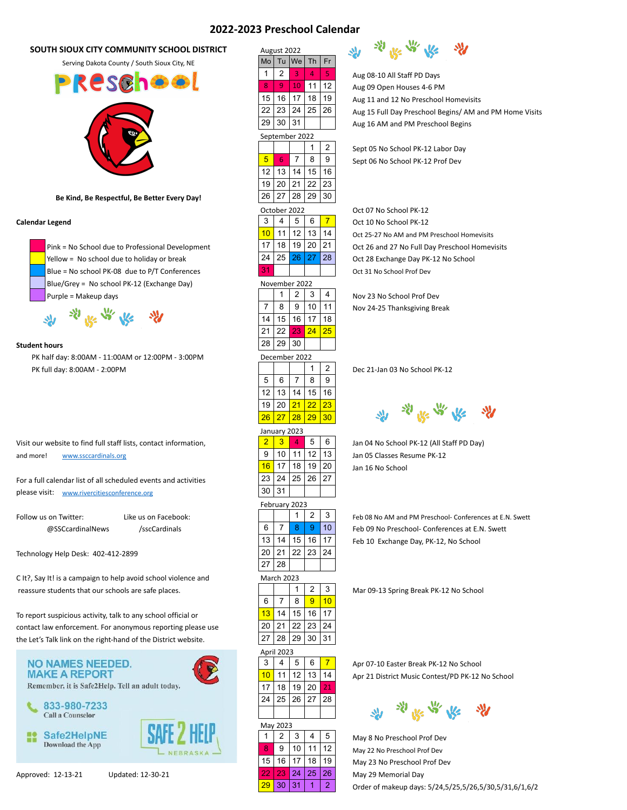# **2022-2023 Preschool Calendar**

# **SOUTH SIOUX CITY COMMUNITY SCHOOL DISTRICT August 2022**



|   |            |                       |  | Preschool Calendar          |  |
|---|------------|-----------------------|--|-----------------------------|--|
|   | ugust 2022 |                       |  |                             |  |
|   |            | ∧o   Tu  We   Th   Fr |  |                             |  |
| 1 |            |                       |  | Aug 08-10 All Staff PD Days |  |

 $\frac{9}{10}$  10 | 11 | 12 | Aug 09 Open Houses 4-6 PM

15 | 16 | 17 | 18 | 19 |  $\qquad \qquad$  Aug 11 and 12 No Preschool Homevisits

 $22 \mid 23 \mid 24 \mid 25 \mid 26 \mid$  Aug 15 Full Day Preschool Begins/ AM and PM Home Visits

 $29 | 30 | 31 |$   $\vert$   $\vert$  Aug 16 AM and PM Preschool Begins

1 | 2 | Sept 05 No School PK-12 Labor Day  $\begin{array}{|c|c|c|c|c|}\n\hline\n 5 & 6 & 7 & 8 & 9 & \text{Sept 06 No School PK-12 Prof Dev}\n\hline\n\end{array}$ 

|    | October 2022  |    |    |    | Oct 07 No School PK-12                         |
|----|---------------|----|----|----|------------------------------------------------|
| 3  |               | 5  | 6  |    | Oct 10 No School PK-12                         |
| 10 |               | 12 | 13 | 14 | Oct 25-27 No AM and PM Preschool Homevisits    |
| 17 | 18            | 19 |    | 21 | Oct 26 and 27 No Full Day Preschool Homevisit: |
| 24 | 25            | 26 |    | 28 | Oct 28 Exchange Day PK-12 No School            |
| 31 |               |    |    |    | Oct 31 No School Prof Dev                      |
|    | November 2022 |    |    |    |                                                |

 $7 \mid 8 \mid 9 \mid 10 \mid 11 \mid$  Nov 24-25 Thanksgiving Break



16 17 | 18 | 19 | 20 | Jan 16 No School

13 | 14 | 15 | 16 | 17 | Feb 10 Exchange Day, PK-12, No School

 $3 \mid 4 \mid 5 \mid 6 \mid 7 \mid$  Apr 07-10 Easter Break PK-12 No School  $\frac{10}{11}$  11 | 12 | 13 | 14 | Apr 21 District Music Contest/PD PK-12 No School



 $1 \mid 2 \mid 3 \mid 4 \mid 5 \mid$  May 8 No Preschool Prof Dev **8** 9 10 11 12 May 22 No Preschool Prof Dev 15 | 16 | 17 | 18 | 19 | May 23 No Preschool Prof Dev Approved: 12-13-21 Updated: 12-30-21 22 23 24 25 26 May 29 Memorial Day  $\frac{29}{30}$  30  $\frac{31}{1}$  1  $\frac{2}{3}$  Order of makeup days: 5/24,5/25,5/26,5/30,5/31,6/1,6/2

豁

Safe2HelpNE

Download the App

May 2023